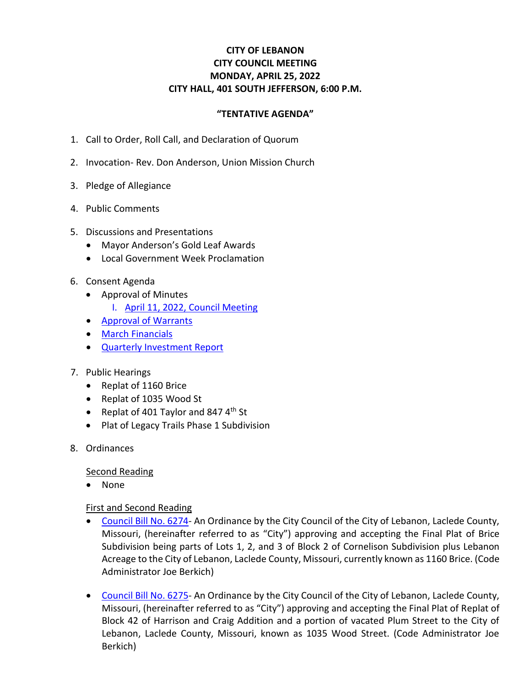## **CITY OF LEBANON CITY COUNCIL MEETING MONDAY, APRIL 25, 2022 CITY HALL, 401 SOUTH JEFFERSON, 6:00 P.M.**

## **"TENTATIVE AGENDA"**

- 1. Call to Order, Roll Call, and Declaration of Quorum
- 2. Invocation- Rev. Don Anderson, Union Mission Church
- 3. Pledge of Allegiance
- 4. Public Comments
- 5. Discussions and Presentations
	- Mayor Anderson's Gold Leaf Awards
	- Local Government Week Proclamation
- 6. Consent Agenda
	- Approval of Minutes
		- I. April 11, 2022, [Council Meeting](https://www.lebanonmissouri.org/DocumentCenter/View/36050/04-11-22-Draft)
	- [Approval of Warrants](https://www.lebanonmissouri.org/DocumentCenter/View/36049/Warrants)
	- March [Financials](https://www.lebanonmissouri.org/DocumentCenter/View/36047/March-Financials)
	- [Quarterly Investment Report](https://www.lebanonmissouri.org/DocumentCenter/View/36048/Quarterly-Investment-Report)
- 7. Public Hearings
	- Replat of 1160 Brice
	- Replat of 1035 Wood St
	- Replat of 401 Taylor and 847  $4<sup>th</sup>$  St
	- Plat of Legacy Trails Phase 1 Subdivision
- 8. Ordinances

Second Reading

• None

## First and Second Reading

- [Council Bill No. 6274-](https://www.lebanonmissouri.org/DocumentCenter/View/36041/Council-Bill-No-6274--Final-Plat-Replat-of-Brice-Subdivision) An Ordinance by the City Council of the City of Lebanon, Laclede County, Missouri, (hereinafter referred to as "City") approving and accepting the Final Plat of Brice Subdivision being parts of Lots 1, 2, and 3 of Block 2 of Cornelison Subdivision plus Lebanon Acreage to the City of Lebanon, Laclede County, Missouri, currently known as 1160 Brice. (Code Administrator Joe Berkich)
- [Council Bill No. 6275-](https://www.lebanonmissouri.org/DocumentCenter/View/36042/Council-Bill-No-6275--Final-Plat-Replat-of-Block-42-of-Harrison-and-Craig-Addition-and-a-Portion-of-Vacated-Plum-Street) An Ordinance by the City Council of the City of Lebanon, Laclede County, Missouri, (hereinafter referred to as "City") approving and accepting the Final Plat of Replat of Block 42 of Harrison and Craig Addition and a portion of vacated Plum Street to the City of Lebanon, Laclede County, Missouri, known as 1035 Wood Street. (Code Administrator Joe Berkich)